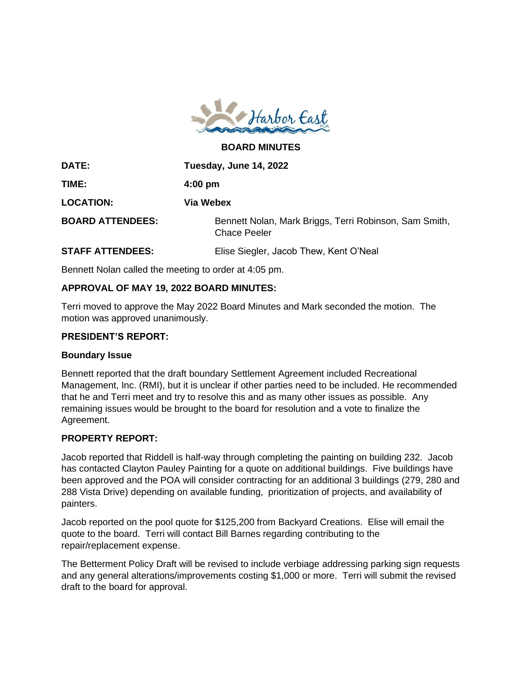

**BOARD MINUTES**

| DATE:                   | Tuesday, June 14, 2022                                                        |
|-------------------------|-------------------------------------------------------------------------------|
| TIME:                   | $4:00 \text{ pm}$                                                             |
| <b>LOCATION:</b>        | Via Webex                                                                     |
| <b>BOARD ATTENDEES:</b> | Bennett Nolan, Mark Briggs, Terri Robinson, Sam Smith,<br><b>Chace Peeler</b> |
| <b>STAFF ATTENDEES:</b> | Elise Siegler, Jacob Thew, Kent O'Neal                                        |

Bennett Nolan called the meeting to order at 4:05 pm.

### **APPROVAL OF MAY 19, 2022 BOARD MINUTES:**

Terri moved to approve the May 2022 Board Minutes and Mark seconded the motion. The motion was approved unanimously.

#### **PRESIDENT'S REPORT:**

#### **Boundary Issue**

Bennett reported that the draft boundary Settlement Agreement included Recreational Management, Inc. (RMI), but it is unclear if other parties need to be included. He recommended that he and Terri meet and try to resolve this and as many other issues as possible. Any remaining issues would be brought to the board for resolution and a vote to finalize the Agreement.

### **PROPERTY REPORT:**

Jacob reported that Riddell is half-way through completing the painting on building 232. Jacob has contacted Clayton Pauley Painting for a quote on additional buildings. Five buildings have been approved and the POA will consider contracting for an additional 3 buildings (279, 280 and 288 Vista Drive) depending on available funding, prioritization of projects, and availability of painters.

Jacob reported on the pool quote for \$125,200 from Backyard Creations. Elise will email the quote to the board. Terri will contact Bill Barnes regarding contributing to the repair/replacement expense.

The Betterment Policy Draft will be revised to include verbiage addressing parking sign requests and any general alterations/improvements costing \$1,000 or more. Terri will submit the revised draft to the board for approval.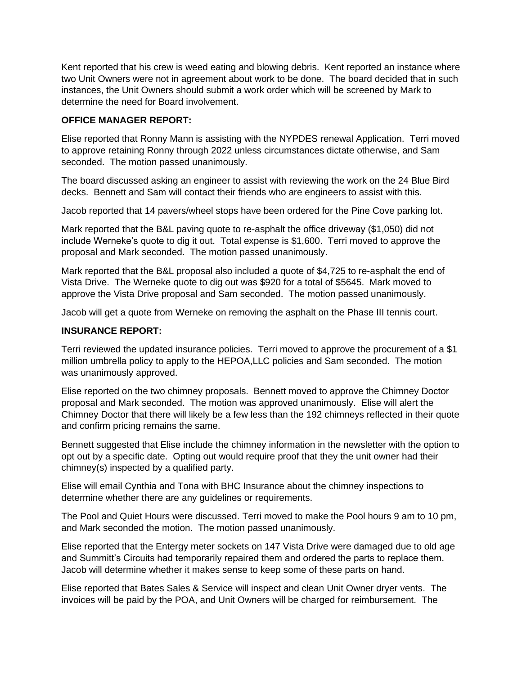Kent reported that his crew is weed eating and blowing debris. Kent reported an instance where two Unit Owners were not in agreement about work to be done. The board decided that in such instances, the Unit Owners should submit a work order which will be screened by Mark to determine the need for Board involvement.

### **OFFICE MANAGER REPORT:**

Elise reported that Ronny Mann is assisting with the NYPDES renewal Application. Terri moved to approve retaining Ronny through 2022 unless circumstances dictate otherwise, and Sam seconded. The motion passed unanimously.

The board discussed asking an engineer to assist with reviewing the work on the 24 Blue Bird decks. Bennett and Sam will contact their friends who are engineers to assist with this.

Jacob reported that 14 pavers/wheel stops have been ordered for the Pine Cove parking lot.

Mark reported that the B&L paving quote to re-asphalt the office driveway (\$1,050) did not include Werneke's quote to dig it out. Total expense is \$1,600. Terri moved to approve the proposal and Mark seconded. The motion passed unanimously.

Mark reported that the B&L proposal also included a quote of \$4,725 to re-asphalt the end of Vista Drive. The Werneke quote to dig out was \$920 for a total of \$5645. Mark moved to approve the Vista Drive proposal and Sam seconded. The motion passed unanimously.

Jacob will get a quote from Werneke on removing the asphalt on the Phase III tennis court.

# **INSURANCE REPORT:**

Terri reviewed the updated insurance policies. Terri moved to approve the procurement of a \$1 million umbrella policy to apply to the HEPOA,LLC policies and Sam seconded. The motion was unanimously approved.

Elise reported on the two chimney proposals. Bennett moved to approve the Chimney Doctor proposal and Mark seconded. The motion was approved unanimously. Elise will alert the Chimney Doctor that there will likely be a few less than the 192 chimneys reflected in their quote and confirm pricing remains the same.

Bennett suggested that Elise include the chimney information in the newsletter with the option to opt out by a specific date. Opting out would require proof that they the unit owner had their chimney(s) inspected by a qualified party.

Elise will email Cynthia and Tona with BHC Insurance about the chimney inspections to determine whether there are any guidelines or requirements.

The Pool and Quiet Hours were discussed. Terri moved to make the Pool hours 9 am to 10 pm, and Mark seconded the motion. The motion passed unanimously.

Elise reported that the Entergy meter sockets on 147 Vista Drive were damaged due to old age and Summitt's Circuits had temporarily repaired them and ordered the parts to replace them. Jacob will determine whether it makes sense to keep some of these parts on hand.

Elise reported that Bates Sales & Service will inspect and clean Unit Owner dryer vents. The invoices will be paid by the POA, and Unit Owners will be charged for reimbursement. The